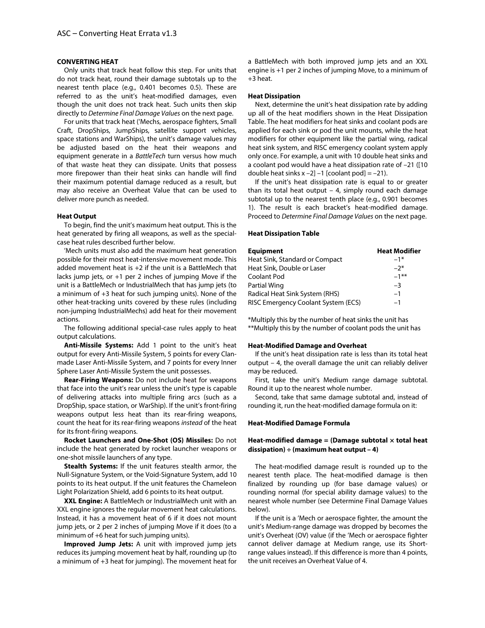# **CONVERTING HEAT**

Only units that track heat follow this step. For units that do not track heat, round their damage subtotals up to the nearest tenth place (e.g., 0.401 becomes 0.5). These are referred to as the unit's heat-modified damages, even though the unit does not track heat. Such units then skip directly to *Determine Final Damage Values* on the next page.

For units that track heat ('Mechs, aerospace fighters, Small Craft, DropShips, JumpShips, satellite support vehicles, space stations and WarShips), the unit's damage values may be adjusted based on the heat their weapons and equipment generate in a *BattleTech* turn versus how much of that waste heat they can dissipate. Units that possess more firepower than their heat sinks can handle will find their maximum potential damage reduced as a result, but may also receive an Overheat Value that can be used to deliver more punch as needed.

#### **Heat Output**

To begin, find the unit's maximum heat output. This is the heat generated by firing all weapons, as well as the specialcase heat rules described further below.

'Mech units must also add the maximum heat generation possible for their most heat-intensive movement mode. This added movement heat is +2 if the unit is a BattleMech that lacks jump jets, or +1 per 2 inches of jumping Move if the unit is a BattleMech or IndustrialMech that has jump jets (to a minimum of +3 heat for such jumping units). None of the other heat-tracking units covered by these rules (including non-jumping IndustrialMechs) add heat for their movement actions.

The following additional special-case rules apply to heat output calculations.

**Anti-Missile Systems:** Add 1 point to the unit's heat output for every Anti-Missile System, 5 points for every Clanmade Laser Anti-Missile System, and 7 points for every Inner Sphere Laser Anti-Missile System the unit possesses.

**Rear-Firing Weapons:** Do not include heat for weapons that face into the unit's rear unless the unit's type is capable of delivering attacks into multiple firing arcs (such as a DropShip, space station, or WarShip). If the unit's front-firing weapons output less heat than its rear-firing weapons, count the heat for its rear-firing weapons *instead* of the heat for its front-firing weapons.

**Rocket Launchers and One-Shot (OS) Missiles:** Do not include the heat generated by rocket launcher weapons or one-shot missile launchers of any type.

**Stealth Systems:** If the unit features stealth armor, the Null-Signature System, or the Void-Signature System, add 10 points to its heat output. If the unit features the Chameleon Light Polarization Shield, add 6 points to its heat output.

**XXL Engine:** A BattleMech or IndustrialMech unit with an XXL engine ignores the regular movement heat calculations. Instead, it has a movement heat of 6 if it does not mount jump jets, or 2 per 2 inches of jumping Move if it does (to a minimum of +6 heat for such jumping units).

**Improved Jump Jets:** A unit with improved jump jets reduces its jumping movement heat by half, rounding up (to a minimum of +3 heat for jumping). The movement heat for a BattleMech with both improved jump jets and an XXL engine is +1 per 2 inches of jumping Move, to a minimum of +3 heat.

### **Heat Dissipation**

Next, determine the unit's heat dissipation rate by adding up all of the heat modifiers shown in the Heat Dissipation Table. The heat modifiers for heat sinks and coolant pods are applied for each sink or pod the unit mounts, while the heat modifiers for other equipment like the partial wing, radical heat sink system, and RISC emergency coolant system apply only once. For example, a unit with 10 double heat sinks and a coolant pod would have a heat dissipation rate of –21 ([10 double heat sinks  $x - 2$ ] -1 [coolant pod] = -21).

If the unit's heat dissipation rate is equal to or greater than its total heat output – 4, simply round each damage subtotal up to the nearest tenth place (e.g., 0.901 becomes 1). The result is each bracket's heat-modified damage. Proceed to *Determine Final Damage Values* on the next page.

### **Heat Dissipation Table**

| <b>Equipment</b>                    | <b>Heat Modifier</b> |
|-------------------------------------|----------------------|
| Heat Sink, Standard or Compact      | $-1*$                |
| Heat Sink, Double or Laser          | $-2*$                |
| Coolant Pod                         | $-1***$              |
| Partial Wing                        | -3                   |
| Radical Heat Sink System (RHS)      | $-1$                 |
| RISC Emergency Coolant System (ECS) | $-1$                 |

\*Multiply this by the number of heat sinks the unit has \*\*Multiply this by the number of coolant pods the unit has

#### **Heat-Modified Damage and Overheat**

If the unit's heat dissipation rate is less than its total heat output – 4, the overall damage the unit can reliably deliver may be reduced.

First, take the unit's Medium range damage subtotal. Round it up to the nearest whole number.

Second, take that same damage subtotal and, instead of rounding it, run the heat-modified damage formula on it:

## **Heat-Modified Damage Formula**

## **Heat-modified damage = (Damage subtotal × total heat dissipation) ÷ (maximum heat output – 4)**

The heat-modified damage result is rounded up to the nearest tenth place. The heat-modified damage is then finalized by rounding up (for base damage values) or rounding normal (for special ability damage values) to the nearest whole number (see Determine Final Damage Values below).

If the unit is a 'Mech or aerospace fighter, the amount the unit's Medium-range damage was dropped by becomes the unit's Overheat (OV) value (if the 'Mech or aerospace fighter cannot deliver damage at Medium range, use its Shortrange values instead). If this difference is more than 4 points, the unit receives an Overheat Value of 4.